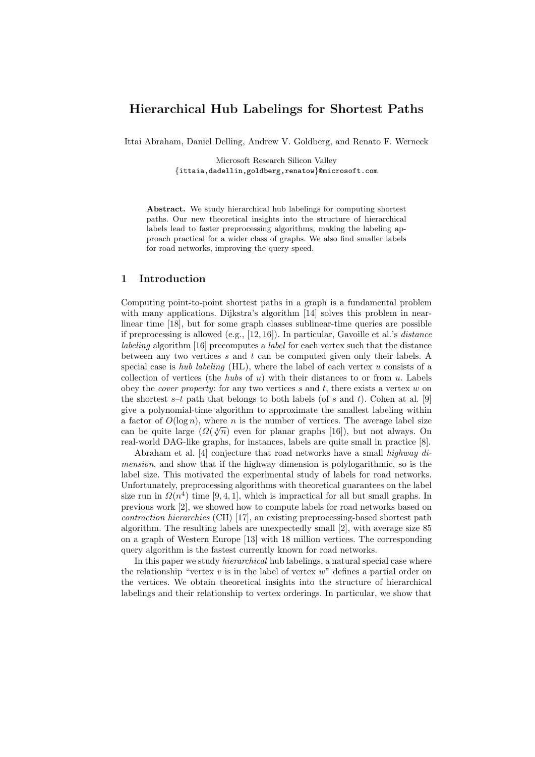# Hierarchical Hub Labelings for Shortest Paths

Ittai Abraham, Daniel Delling, Andrew V. Goldberg, and Renato F. Werneck

Microsoft Research Silicon Valley {ittaia,dadellin,goldberg,renatow}@microsoft.com

Abstract. We study hierarchical hub labelings for computing shortest paths. Our new theoretical insights into the structure of hierarchical labels lead to faster preprocessing algorithms, making the labeling approach practical for a wider class of graphs. We also find smaller labels for road networks, improving the query speed.

# 1 Introduction

Computing point-to-point shortest paths in a graph is a fundamental problem with many applications. Dijkstra's algorithm [14] solves this problem in nearlinear time [18], but for some graph classes sublinear-time queries are possible if preprocessing is allowed (e.g.,  $[12, 16]$ ). In particular, Gavoille et al.'s *distance* labeling algorithm [16] precomputes a label for each vertex such that the distance between any two vertices  $s$  and  $t$  can be computed given only their labels. A special case is *hub labeling* (HL), where the label of each vertex  $u$  consists of a collection of vertices (the *hubs* of  $u$ ) with their distances to or from  $u$ . Labels obey the *cover property*: for any two vertices  $s$  and  $t$ , there exists a vertex  $w$  on the shortest  $s-t$  path that belongs to both labels (of s and t). Cohen at al. [9] give a polynomial-time algorithm to approximate the smallest labeling within a factor of  $O(\log n)$ , where n is the number of vertices. The average label size a factor of  $O(\log n)$ , where *n* is the number of vertices. The average faber size<br>can be quite large  $(\Omega(\sqrt[3]{n})$  even for planar graphs [16]), but not always. On real-world DAG-like graphs, for instances, labels are quite small in practice [8].

Abraham et al. [4] conjecture that road networks have a small highway dimension, and show that if the highway dimension is polylogarithmic, so is the label size. This motivated the experimental study of labels for road networks. Unfortunately, preprocessing algorithms with theoretical guarantees on the label size run in  $\Omega(n^4)$  time [9, 4, 1], which is impractical for all but small graphs. In previous work [2], we showed how to compute labels for road networks based on contraction hierarchies (CH) [17], an existing preprocessing-based shortest path algorithm. The resulting labels are unexpectedly small [2], with average size 85 on a graph of Western Europe [13] with 18 million vertices. The corresponding query algorithm is the fastest currently known for road networks.

In this paper we study *hierarchical* hub labelings, a natural special case where the relationship "vertex  $v$  is in the label of vertex  $w$ " defines a partial order on the vertices. We obtain theoretical insights into the structure of hierarchical labelings and their relationship to vertex orderings. In particular, we show that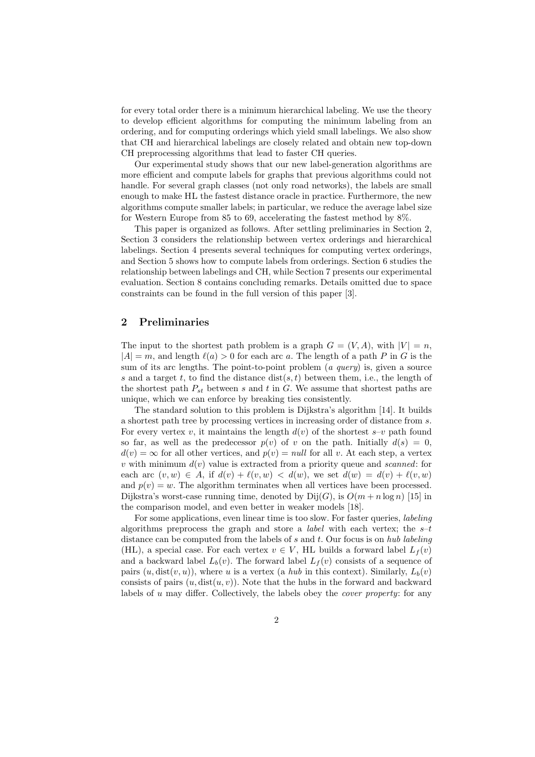for every total order there is a minimum hierarchical labeling. We use the theory to develop efficient algorithms for computing the minimum labeling from an ordering, and for computing orderings which yield small labelings. We also show that CH and hierarchical labelings are closely related and obtain new top-down CH preprocessing algorithms that lead to faster CH queries.

Our experimental study shows that our new label-generation algorithms are more efficient and compute labels for graphs that previous algorithms could not handle. For several graph classes (not only road networks), the labels are small enough to make HL the fastest distance oracle in practice. Furthermore, the new algorithms compute smaller labels; in particular, we reduce the average label size for Western Europe from 85 to 69, accelerating the fastest method by 8%.

This paper is organized as follows. After settling preliminaries in Section 2, Section 3 considers the relationship between vertex orderings and hierarchical labelings. Section 4 presents several techniques for computing vertex orderings, and Section 5 shows how to compute labels from orderings. Section 6 studies the relationship between labelings and CH, while Section 7 presents our experimental evaluation. Section 8 contains concluding remarks. Details omitted due to space constraints can be found in the full version of this paper [3].

# 2 Preliminaries

The input to the shortest path problem is a graph  $G = (V, A)$ , with  $|V| = n$ ,  $|A| = m$ , and length  $\ell(a) > 0$  for each arc a. The length of a path P in G is the sum of its arc lengths. The point-to-point problem  $(a\ query)$  is, given a source s and a target t, to find the distance  $dist(s, t)$  between them, i.e., the length of the shortest path  $P_{st}$  between s and t in G. We assume that shortest paths are unique, which we can enforce by breaking ties consistently.

The standard solution to this problem is Dijkstra's algorithm [14]. It builds a shortest path tree by processing vertices in increasing order of distance from s. For every vertex v, it maintains the length  $d(v)$  of the shortest  $s-v$  path found so far, as well as the predecessor  $p(v)$  of v on the path. Initially  $d(s) = 0$ ,  $d(v) = \infty$  for all other vertices, and  $p(v) = null$  for all v. At each step, a vertex v with minimum  $d(v)$  value is extracted from a priority queue and scanned: for each arc  $(v, w) \in A$ , if  $d(v) + \ell(v, w) < d(w)$ , we set  $d(w) = d(v) + \ell(v, w)$ and  $p(v) = w$ . The algorithm terminates when all vertices have been processed. Dijkstra's worst-case running time, denoted by  $\text{Dij}(G)$ , is  $O(m + n \log n)$  [15] in the comparison model, and even better in weaker models [18].

For some applications, even linear time is too slow. For faster queries, labeling algorithms preprocess the graph and store a *label* with each vertex; the  $s-t$ distance can be computed from the labels of s and t. Our focus is on hub labeling (HL), a special case. For each vertex  $v \in V$ , HL builds a forward label  $L_f(v)$ and a backward label  $L_b(v)$ . The forward label  $L_f(v)$  consists of a sequence of pairs  $(u, \text{dist}(v, u))$ , where u is a vertex (a hub in this context). Similarly,  $L_b(v)$ consists of pairs  $(u, \text{dist}(u, v))$ . Note that the hubs in the forward and backward labels of u may differ. Collectively, the labels obey the *cover property*: for any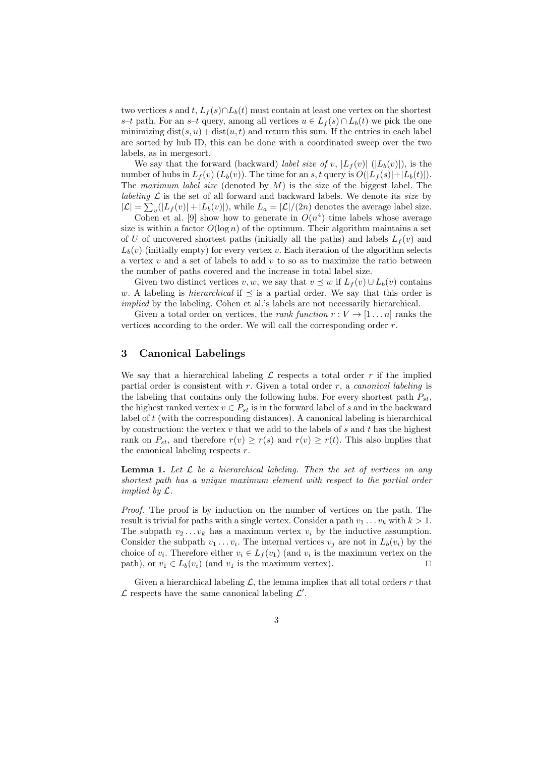two vertices s and t,  $L_f(s) \cap L_b(t)$  must contain at least one vertex on the shortest s–t path. For an s–t query, among all vertices  $u \in L_f(s) \cap L_b(t)$  we pick the one minimizing  $dist(s, u) + dist(u, t)$  and return this sum. If the entries in each label are sorted by hub ID, this can be done with a coordinated sweep over the two labels, as in mergesort.

We say that the forward (backward) label size of v,  $|L_f(v)|$  ( $|L_b(v)|$ ), is the number of hubs in  $L_f(v)$   $(L_b(v))$ . The time for an s, t query is  $O(|L_f(s)|+|L_b(t)|)$ . The maximum label size (denoted by  $M$ ) is the size of the biggest label. The labeling  $\mathcal L$  is the set of all forward and backward labels. We denote its size by  $|\mathcal{L}| = \sum_{v} (|L_f(v)| + |L_b(v)|)$ , while  $L_a = |\mathcal{L}|/(2n)$  denotes the average label size.

Cohen et al. [9] show how to generate in  $O(n^4)$  time labels whose average size is within a factor  $O(\log n)$  of the optimum. Their algorithm maintains a set of U of uncovered shortest paths (initially all the paths) and labels  $L_f(v)$  and  $L_b(v)$  (initially empty) for every vertex v. Each iteration of the algorithm selects a vertex  $v$  and a set of labels to add  $v$  to so as to maximize the ratio between the number of paths covered and the increase in total label size.

Given two distinct vertices v, w, we say that  $v \preceq w$  if  $L_f(v) \cup L_b(v)$  contains w. A labeling is *hierarchical* if  $\preceq$  is a partial order. We say that this order is implied by the labeling. Cohen et al.'s labels are not necessarily hierarchical.

Given a total order on vertices, the *rank function*  $r: V \to [1 \dots n]$  ranks the vertices according to the order. We will call the corresponding order  $r$ .

# 3 Canonical Labelings

We say that a hierarchical labeling  $\mathcal L$  respects a total order r if the implied partial order is consistent with r. Given a total order r, a *canonical labeling* is the labeling that contains only the following hubs. For every shortest path  $P_{st}$ , the highest ranked vertex  $v \in P_{st}$  is in the forward label of s and in the backward label of t (with the corresponding distances). A canonical labeling is hierarchical by construction: the vertex  $v$  that we add to the labels of  $s$  and  $t$  has the highest rank on  $P_{st}$ , and therefore  $r(v) \geq r(s)$  and  $r(v) \geq r(t)$ . This also implies that the canonical labeling respects  $r$ .

**Lemma 1.** Let  $\mathcal{L}$  be a hierarchical labeling. Then the set of vertices on any shortest path has a unique maximum element with respect to the partial order implied by L.

Proof. The proof is by induction on the number of vertices on the path. The result is trivial for paths with a single vertex. Consider a path  $v_1 \ldots v_k$  with  $k > 1$ . The subpath  $v_2 \ldots v_k$  has a maximum vertex  $v_i$  by the inductive assumption. Consider the subpath  $v_1 \ldots v_i$ . The internal vertices  $v_j$  are not in  $L_b(v_i)$  by the choice of  $v_i$ . Therefore either  $v_i \in L_f(v_1)$  (and  $v_i$  is the maximum vertex on the path), or  $v_1 \in L_b(v_i)$  (and  $v_1$  is the maximum vertex).

Given a hierarchical labeling  $\mathcal{L}$ , the lemma implies that all total orders r that  $\mathcal L$  respects have the same canonical labeling  $\mathcal L'$ .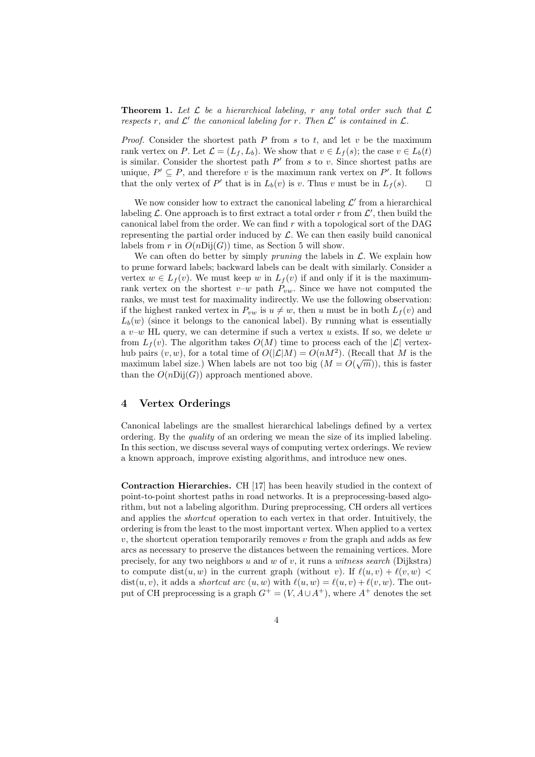**Theorem 1.** Let  $\mathcal L$  be a hierarchical labeling, r any total order such that  $\mathcal L$ respects r, and  $\mathcal{L}'$  the canonical labeling for r. Then  $\mathcal{L}'$  is contained in  $\mathcal{L}$ .

*Proof.* Consider the shortest path  $P$  from  $s$  to  $t$ , and let  $v$  be the maximum rank vertex on P. Let  $\mathcal{L} = (L_f, L_b)$ . We show that  $v \in L_f(s)$ ; the case  $v \in L_b(t)$ is similar. Consider the shortest path  $P'$  from s to v. Since shortest paths are unique,  $P' \subseteq P$ , and therefore v is the maximum rank vertex on P'. It follows that the only vertex of P' that is in  $L_b(v)$  is v. Thus v must be in  $L_f(s)$ .  $\Box$ 

We now consider how to extract the canonical labeling  $\mathcal{L}'$  from a hierarchical labeling  $\mathcal{L}$ . One approach is to first extract a total order r from  $\mathcal{L}'$ , then build the canonical label from the order. We can find  $r$  with a topological sort of the DAG representing the partial order induced by  $\mathcal{L}$ . We can then easily build canonical labels from r in  $O(nDij(G))$  time, as Section 5 will show.

We can often do better by simply *pruning* the labels in  $\mathcal{L}$ . We explain how to prune forward labels; backward labels can be dealt with similarly. Consider a vertex  $w \in L_f(v)$ . We must keep w in  $L_f(v)$  if and only if it is the maximumrank vertex on the shortest  $v-w$  path  $P_{vw}$ . Since we have not computed the ranks, we must test for maximality indirectly. We use the following observation: if the highest ranked vertex in  $P_{vw}$  is  $u \neq w$ , then u must be in both  $L_f(v)$  and  $L_b(w)$  (since it belongs to the canonical label). By running what is essentially a  $v-w$  HL query, we can determine if such a vertex u exists. If so, we delete w from  $L_f(v)$ . The algorithm takes  $O(M)$  time to process each of the  $|\mathcal{L}|$  vertexhub pairs  $(v, w)$ , for a total time of  $O(|\mathcal{L}|M) = O(nM^2)$ . (Recall that M is the maximum label size.) When labels are not too big  $(M = O(\sqrt{m}))$ , this is faster than the  $O(nDij(G))$  approach mentioned above.

### 4 Vertex Orderings

Canonical labelings are the smallest hierarchical labelings defined by a vertex ordering. By the quality of an ordering we mean the size of its implied labeling. In this section, we discuss several ways of computing vertex orderings. We review a known approach, improve existing algorithms, and introduce new ones.

Contraction Hierarchies. CH [17] has been heavily studied in the context of point-to-point shortest paths in road networks. It is a preprocessing-based algorithm, but not a labeling algorithm. During preprocessing, CH orders all vertices and applies the shortcut operation to each vertex in that order. Intuitively, the ordering is from the least to the most important vertex. When applied to a vertex  $v$ , the shortcut operation temporarily removes  $v$  from the graph and adds as few arcs as necessary to preserve the distances between the remaining vertices. More precisely, for any two neighbors  $u$  and  $w$  of  $v$ , it runs a witness search (Dijkstra) to compute dist(u, w) in the current graph (without v). If  $\ell(u, v) + \ell(v, w)$  $dist(u, v)$ , it adds a *shortcut arc*  $(u, w)$  with  $\ell(u, w) = \ell(u, v) + \ell(v, w)$ . The output of CH preprocessing is a graph  $G^+ = (V, A \cup A^+)$ , where  $A^+$  denotes the set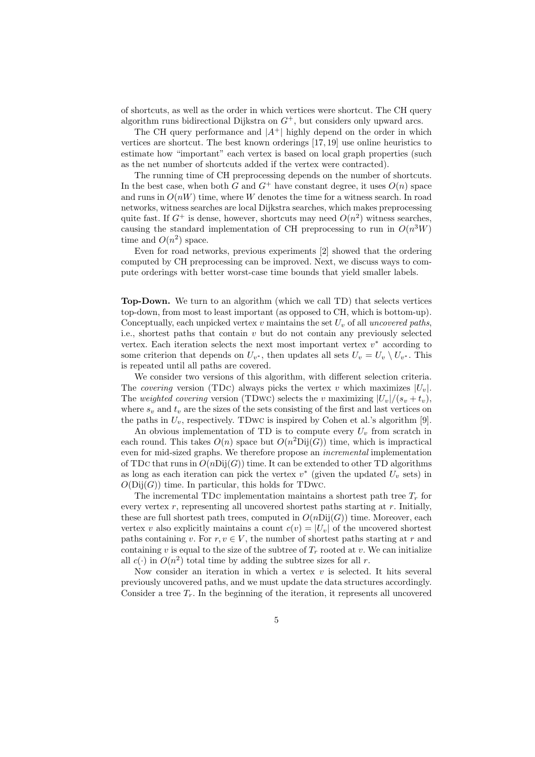of shortcuts, as well as the order in which vertices were shortcut. The CH query algorithm runs bidirectional Dijkstra on  $G^+$ , but considers only upward arcs.

The CH query performance and  $|A^+|$  highly depend on the order in which vertices are shortcut. The best known orderings [17, 19] use online heuristics to estimate how "important" each vertex is based on local graph properties (such as the net number of shortcuts added if the vertex were contracted).

The running time of CH preprocessing depends on the number of shortcuts. In the best case, when both G and  $G^+$  have constant degree, it uses  $O(n)$  space and runs in  $O(nW)$  time, where W denotes the time for a witness search. In road networks, witness searches are local Dijkstra searches, which makes preprocessing quite fast. If  $G^+$  is dense, however, shortcuts may need  $O(n^2)$  witness searches, causing the standard implementation of CH preprocessing to run in  $O(n^3W)$ time and  $O(n^2)$  space.

Even for road networks, previous experiments [2] showed that the ordering computed by CH preprocessing can be improved. Next, we discuss ways to compute orderings with better worst-case time bounds that yield smaller labels.

Top-Down. We turn to an algorithm (which we call TD) that selects vertices top-down, from most to least important (as opposed to CH, which is bottom-up). Conceptually, each unpicked vertex  $v$  maintains the set  $U_v$  of all uncovered paths, i.e., shortest paths that contain  $v$  but do not contain any previously selected vertex. Each iteration selects the next most important vertex  $v^*$  according to some criterion that depends on  $U_{v^*}$ , then updates all sets  $U_v = U_v \setminus U_{v^*}$ . This is repeated until all paths are covered.

We consider two versions of this algorithm, with different selection criteria. The covering version (TDC) always picks the vertex v which maximizes  $|U_v|$ . The weighted covering version (TDwc) selects the v maximizing  $|U_v|/(s_v + t_v)$ , where  $s_v$  and  $t_v$  are the sizes of the sets consisting of the first and last vertices on the paths in  $U_v$ , respectively. TDwc is inspired by Cohen et al.'s algorithm [9].

An obvious implementation of TD is to compute every  $U<sub>v</sub>$  from scratch in each round. This takes  $O(n)$  space but  $O(n^2\text{Dij}(G))$  time, which is impractical even for mid-sized graphs. We therefore propose an incremental implementation of TDc that runs in  $O(nDij(G))$  time. It can be extended to other TD algorithms as long as each iteration can pick the vertex  $v^*$  (given the updated  $U_v$  sets) in  $O(Dij(G))$  time. In particular, this holds for TDwc.

The incremental TDC implementation maintains a shortest path tree  $T_r$  for every vertex  $r$ , representing all uncovered shortest paths starting at  $r$ . Initially, these are full shortest path trees, computed in  $O(n\mathrm{Dij}(G))$  time. Moreover, each vertex v also explicitly maintains a count  $c(v) = |U_v|$  of the uncovered shortest paths containing v. For  $r, v \in V$ , the number of shortest paths starting at r and containing v is equal to the size of the subtree of  $T_r$  rooted at v. We can initialize all  $c(\cdot)$  in  $O(n^2)$  total time by adding the subtree sizes for all r.

Now consider an iteration in which a vertex  $v$  is selected. It hits several previously uncovered paths, and we must update the data structures accordingly. Consider a tree  $T_r$ . In the beginning of the iteration, it represents all uncovered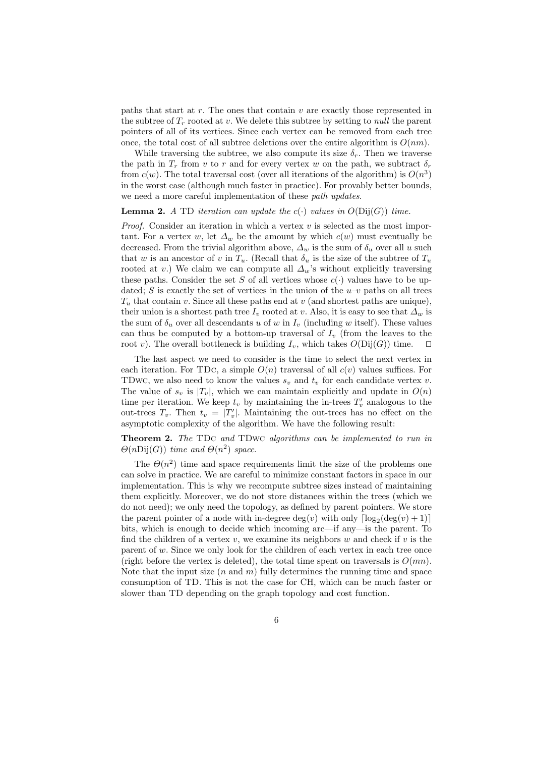paths that start at  $r$ . The ones that contain  $v$  are exactly those represented in the subtree of  $T_r$  rooted at v. We delete this subtree by setting to *null* the parent pointers of all of its vertices. Since each vertex can be removed from each tree once, the total cost of all subtree deletions over the entire algorithm is  $O(nm)$ .

While traversing the subtree, we also compute its size  $\delta_r$ . Then we traverse the path in  $T_r$  from v to r and for every vertex w on the path, we subtract  $\delta_r$ from  $c(w)$ . The total traversal cost (over all iterations of the algorithm) is  $O(n^3)$ in the worst case (although much faster in practice). For provably better bounds, we need a more careful implementation of these *path updates*.

#### **Lemma 2.** A TD iteration can update the  $c(\cdot)$  values in  $O(Di(G))$  time.

*Proof.* Consider an iteration in which a vertex  $v$  is selected as the most important. For a vertex w, let  $\Delta_w$  be the amount by which  $c(w)$  must eventually be decreased. From the trivial algorithm above,  $\Delta_w$  is the sum of  $\delta_u$  over all u such that w is an ancestor of v in  $T_u$ . (Recall that  $\delta_u$  is the size of the subtree of  $T_u$ rooted at v.) We claim we can compute all  $\Delta_w$ 's without explicitly traversing these paths. Consider the set S of all vertices whose  $c(\cdot)$  values have to be updated; S is exactly the set of vertices in the union of the  $u-v$  paths on all trees  $T_u$  that contain v. Since all these paths end at v (and shortest paths are unique), their union is a shortest path tree  $I_v$  rooted at v. Also, it is easy to see that  $\Delta_w$  is the sum of  $\delta_u$  over all descendants u of w in  $I_v$  (including w itself). These values can thus be computed by a bottom-up traversal of  $I_v$  (from the leaves to the root v). The overall bottleneck is building  $I_v$ , which takes  $O(Dij(G))$  time.  $\Box$ 

The last aspect we need to consider is the time to select the next vertex in each iteration. For TDC, a simple  $O(n)$  traversal of all  $c(v)$  values suffices. For TDwc, we also need to know the values  $s_v$  and  $t_v$  for each candidate vertex v. The value of  $s_v$  is  $|T_v|$ , which we can maintain explicitly and update in  $O(n)$ time per iteration. We keep  $t_v$  by maintaining the in-trees  $T'_v$  analogous to the out-trees  $T_v$ . Then  $t_v = |T'_v|$ . Maintaining the out-trees has no effect on the asymptotic complexity of the algorithm. We have the following result:

**Theorem 2.** The TDc and TDwc algorithms can be implemented to run in  $\Theta(n\mathrm{Dij}(G))$  time and  $\Theta(n^2)$  space.

The  $\Theta(n^2)$  time and space requirements limit the size of the problems one can solve in practice. We are careful to minimize constant factors in space in our implementation. This is why we recompute subtree sizes instead of maintaining them explicitly. Moreover, we do not store distances within the trees (which we do not need); we only need the topology, as defined by parent pointers. We store the parent pointer of a node with in-degree  $\deg(v)$  with only  $\lceil \log_2(\deg(v) + 1) \rceil$ bits, which is enough to decide which incoming arc—if any—is the parent. To find the children of a vertex v, we examine its neighbors w and check if v is the parent of  $w$ . Since we only look for the children of each vertex in each tree once (right before the vertex is deleted), the total time spent on traversals is  $O(mn)$ . Note that the input size  $(n \text{ and } m)$  fully determines the running time and space consumption of TD. This is not the case for CH, which can be much faster or slower than TD depending on the graph topology and cost function.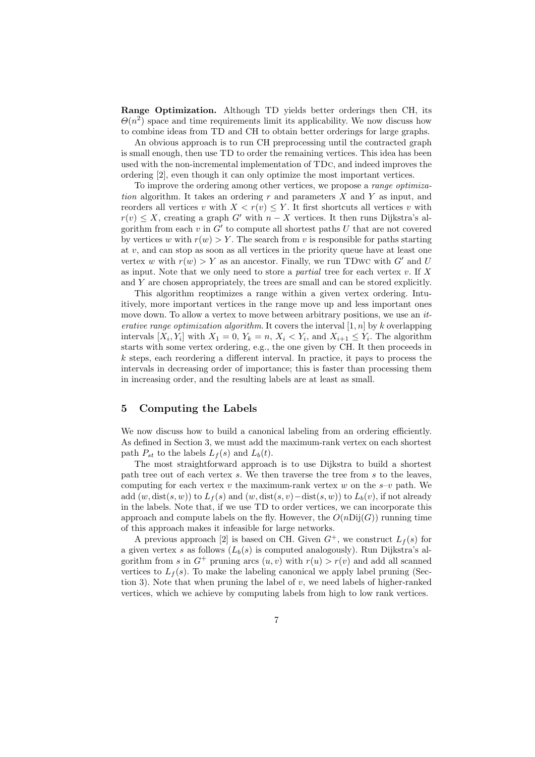Range Optimization. Although TD yields better orderings then CH, its  $\Theta(n^2)$  space and time requirements limit its applicability. We now discuss how to combine ideas from TD and CH to obtain better orderings for large graphs.

An obvious approach is to run CH preprocessing until the contracted graph is small enough, then use TD to order the remaining vertices. This idea has been used with the non-incremental implementation of TDc, and indeed improves the ordering [2], even though it can only optimize the most important vertices.

To improve the ordering among other vertices, we propose a range optimization algorithm. It takes an ordering r and parameters X and Y as input, and reorders all vertices v with  $X < r(v) \leq Y$ . It first shortcuts all vertices v with  $r(v) \leq X$ , creating a graph G' with  $n - X$  vertices. It then runs Dijkstra's algorithm from each  $v$  in  $G'$  to compute all shortest paths  $U$  that are not covered by vertices w with  $r(w) > Y$ . The search from v is responsible for paths starting at  $v$ , and can stop as soon as all vertices in the priority queue have at least one vertex w with  $r(w) > Y$  as an ancestor. Finally, we run TDwc with G' and U as input. Note that we only need to store a *partial* tree for each vertex  $v$ . If X and Y are chosen appropriately, the trees are small and can be stored explicitly.

This algorithm reoptimizes a range within a given vertex ordering. Intuitively, more important vertices in the range move up and less important ones move down. To allow a vertex to move between arbitrary positions, we use an *it*erative range optimization algorithm. It covers the interval  $[1, n]$  by k overlapping intervals  $[X_i, Y_i]$  with  $X_1 = 0$ ,  $Y_k = n$ ,  $X_i < Y_i$ , and  $X_{i+1} \le Y_i$ . The algorithm starts with some vertex ordering, e.g., the one given by CH. It then proceeds in  $k$  steps, each reordering a different interval. In practice, it pays to process the intervals in decreasing order of importance; this is faster than processing them in increasing order, and the resulting labels are at least as small.

# 5 Computing the Labels

We now discuss how to build a canonical labeling from an ordering efficiently. As defined in Section 3, we must add the maximum-rank vertex on each shortest path  $P_{st}$  to the labels  $L_f(s)$  and  $L_b(t)$ .

The most straightforward approach is to use Dijkstra to build a shortest path tree out of each vertex s. We then traverse the tree from s to the leaves, computing for each vertex v the maximum-rank vertex w on the  $s-v$  path. We add  $(w, dist(s, w))$  to  $L_f(s)$  and  $(w, dist(s, v) - dist(s, w))$  to  $L_b(v)$ , if not already in the labels. Note that, if we use TD to order vertices, we can incorporate this approach and compute labels on the fly. However, the  $O(nDii(G))$  running time of this approach makes it infeasible for large networks.

A previous approach [2] is based on CH. Given  $G^+$ , we construct  $L_f(s)$  for a given vertex s as follows  $(L_b(s))$  is computed analogously). Run Dijkstra's algorithm from s in  $G^+$  pruning arcs  $(u, v)$  with  $r(u) > r(v)$  and add all scanned vertices to  $L_f(s)$ . To make the labeling canonical we apply label pruning (Section 3). Note that when pruning the label of  $v$ , we need labels of higher-ranked vertices, which we achieve by computing labels from high to low rank vertices.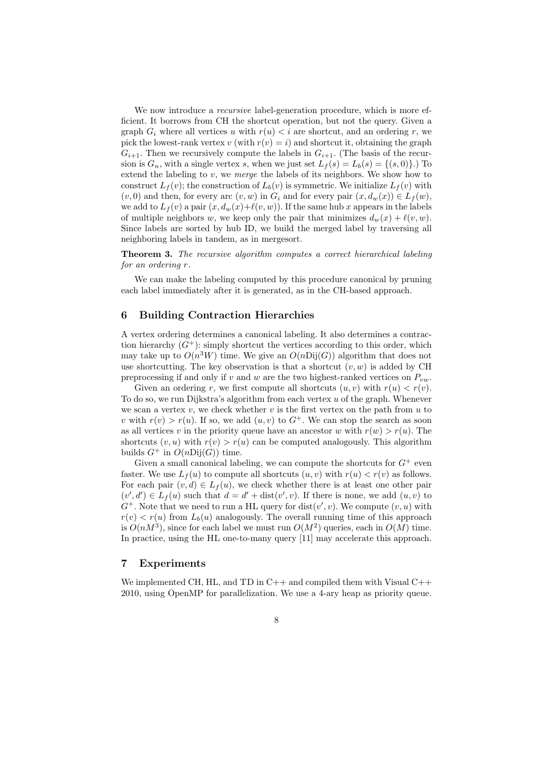We now introduce a *recursive* label-generation procedure, which is more efficient. It borrows from CH the shortcut operation, but not the query. Given a graph  $G_i$  where all vertices u with  $r(u) < i$  are shortcut, and an ordering r, we pick the lowest-rank vertex v (with  $r(v) = i$ ) and shortcut it, obtaining the graph  $G_{i+1}$ . Then we recursively compute the labels in  $G_{i+1}$ . (The basis of the recursion is  $G_n$ , with a single vertex s, when we just set  $L_f(s) = L_b(s) = \{(s, 0)\}\.$  To extend the labeling to  $v$ , we *merge* the labels of its neighbors. We show how to construct  $L_f(v)$ ; the construction of  $L_b(v)$  is symmetric. We initialize  $L_f(v)$  with  $(v, 0)$  and then, for every arc  $(v, w)$  in  $G_i$  and for every pair  $(x, d_w(x)) \in L_f(w)$ , we add to  $L_f(v)$  a pair  $(x, d_w(x)+\ell(v, w))$ . If the same hub x appears in the labels of multiple neighbors w, we keep only the pair that minimizes  $d_w(x) + \ell(v, w)$ . Since labels are sorted by hub ID, we build the merged label by traversing all neighboring labels in tandem, as in mergesort.

Theorem 3. The recursive algorithm computes a correct hierarchical labeling for an ordering r.

We can make the labeling computed by this procedure canonical by pruning each label immediately after it is generated, as in the CH-based approach.

## 6 Building Contraction Hierarchies

A vertex ordering determines a canonical labeling. It also determines a contraction hierarchy  $(G^+)$ : simply shortcut the vertices according to this order, which may take up to  $O(n^3W)$  time. We give an  $O(nDij(G))$  algorithm that does not use shortcutting. The key observation is that a shortcut  $(v, w)$  is added by CH preprocessing if and only if v and w are the two highest-ranked vertices on  $P_{vw}$ .

Given an ordering r, we first compute all shortcuts  $(u, v)$  with  $r(u) < r(v)$ . To do so, we run Dijkstra's algorithm from each vertex  $u$  of the graph. Whenever we scan a vertex  $v$ , we check whether  $v$  is the first vertex on the path from  $u$  to v with  $r(v) > r(u)$ . If so, we add  $(u, v)$  to  $G^+$ . We can stop the search as soon as all vertices v in the priority queue have an ancestor w with  $r(w) > r(u)$ . The shortcuts  $(v, u)$  with  $r(v) > r(u)$  can be computed analogously. This algorithm builds  $G^+$  in  $O(nDij(G))$  time.

Given a small canonical labeling, we can compute the shortcuts for  $G^+$  even faster. We use  $L_f(u)$  to compute all shortcuts  $(u, v)$  with  $r(u) < r(v)$  as follows. For each pair  $(v, d) \in L_f(u)$ , we check whether there is at least one other pair  $(v', d') \in L_f(u)$  such that  $d = d' + dist(v', v)$ . If there is none, we add  $(u, v)$  to  $G^+$ . Note that we need to run a HL query for dist $(v', v)$ . We compute  $(v, u)$  with  $r(v) < r(u)$  from  $L<sub>b</sub>(u)$  analogously. The overall running time of this approach is  $O(nM^3)$ , since for each label we must run  $O(M^2)$  queries, each in  $O(M)$  time. In practice, using the HL one-to-many query [11] may accelerate this approach.

#### 7 Experiments

We implemented CH, HL, and TD in  $C_{++}$  and compiled them with Visual  $C_{++}$ 2010, using OpenMP for parallelization. We use a 4-ary heap as priority queue.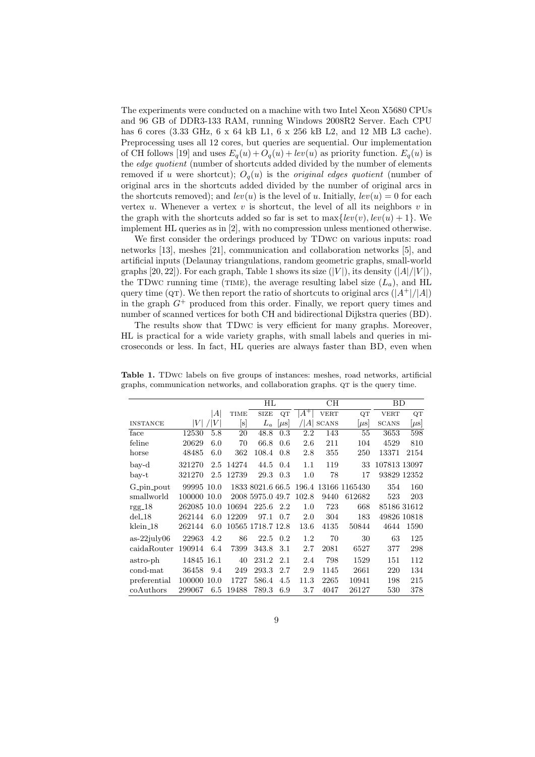The experiments were conducted on a machine with two Intel Xeon X5680 CPUs and 96 GB of DDR3-133 RAM, running Windows 2008R2 Server. Each CPU has 6 cores (3.33 GHz, 6 x 64 kB L1, 6 x 256 kB L2, and 12 MB L3 cache). Preprocessing uses all 12 cores, but queries are sequential. Our implementation of CH follows [19] and uses  $E_q(u) + O_q(u) + lev(u)$  as priority function.  $E_q(u)$  is the *edge quotient* (number of shortcuts added divided by the number of elements removed if u were shortcut);  $O_q(u)$  is the *original edges quotient* (number of original arcs in the shortcuts added divided by the number of original arcs in the shortcuts removed); and  $lev(u)$  is the level of u. Initially,  $lev(u) = 0$  for each vertex u. Whenever a vertex v is shortcut, the level of all its neighbors  $v$  in the graph with the shortcuts added so far is set to  $\max\{lev(v), lev(u) + 1\}$ . We implement HL queries as in [2], with no compression unless mentioned otherwise.

We first consider the orderings produced by TDwc on various inputs: road networks [13], meshes [21], communication and collaboration networks [5], and artificial inputs (Delaunay triangulations, random geometric graphs, small-world graphs [20, 22]). For each graph, Table 1 shows its size  $(|V|)$ , its density  $(|A|/|V|)$ , the TDwc running time (TIME), the average resulting label size  $(L_a)$ , and HL query time (QT). We then report the ratio of shortcuts to original arcs  $(|A^+|/|A|)$ in the graph  $G^+$  produced from this order. Finally, we report query times and number of scanned vertices for both CH and bidirectional Dijkstra queries (BD).

The results show that TDwc is very efficient for many graphs. Moreover, HL is practical for a wide variety graphs, with small labels and queries in microseconds or less. In fact, HL queries are always faster than BD, even when

|                      |                  |      | HL             |                   | CH        |         |              | BD                  |              |             |
|----------------------|------------------|------|----------------|-------------------|-----------|---------|--------------|---------------------|--------------|-------------|
|                      |                  | A    | TIME           | <b>SIZE</b>       | QT        | $A^+$   | <b>VERT</b>  | QT                  | <b>VERT</b>  | QT          |
| <b>INSTANCE</b>      | $\left V\right $ | V    | $[\mathrm{s}]$ | $L_a$             | $ \mu s $ | A       | <b>SCANS</b> | $ \mu s $           | <b>SCANS</b> | $[\mu s]$   |
| face                 | 12530            | 5.8  | 20             | 48.8              | 0.3       | 2.2     | 143          | 55                  | 3653         | 598         |
| feline               | 20629            | 6.0  | 70             | 66.8              | 0.6       | $2.6\,$ | 211          | 104                 | 4529         | 810         |
| horse                | 48485            | 6.0  | 362            | 108.4             | 0.8       | 2.8     | 355          | 250                 | 13371        | 2154        |
| bay-d                | 321270           | 2.5  | 14274          | 44.5              | 0.4       | 1.1     | 119          | 33                  | 107813 13097 |             |
| $_{\text{bay-t}}$    | 321270           | 2.5  | 12739          | 29.3              | 0.3       | 1.0     | 78           | 17                  |              | 93829 12352 |
| G_pin_pout           | 99995 10.0       |      |                | 1833 8021.6 66.5  |           |         |              | 196.4 13166 1165430 | 354          | 160         |
| smallworld           | 100000 10.0      |      |                | 2008 5975.0 49.7  |           | 102.8   | 9440         | 612682              | 523          | 203         |
| $rgg_18$             | 262085           | 10.0 | 10694          | 225.6             | 2.2       | 1.0     | 723          | 668                 |              | 85186 31612 |
| $del_18$             | 262144           | 6.0  | 12209          | 97.1              | 0.7       | 2.0     | 304          | 183                 |              | 49826 10818 |
| klein <sub>-18</sub> | 262144           | 6.0  |                | 10565 1718.7 12.8 |           | 13.6    | 4135         | 50844               | 4644         | 1590        |
| $as-22july06$        | 22963            | 4.2  | 86             | 22.5              | 0.2       | 1.2     | 70           | 30                  | 63           | 125         |
| caidaRouter          | 190914           | 6.4  | 7399           | 343.8             | 3.1       | 2.7     | 2081         | 6527                | 377          | 298         |
| astro-ph             | 14845 16.1       |      | 40             | 231.2             | 2.1       | 2.4     | 798          | 1529                | 151          | 112         |
| cond-mat             | 36458            | 9.4  | 249            | 293.3             | 2.7       | 2.9     | 1145         | 2661                | 220          | 134         |
| preferential         | 100000           | 10.0 | 1727           | 586.4             | 4.5       | 11.3    | 2265         | 10941               | 198          | 215         |
| coAuthors            | 299067           | 6.5  | 19488          | 789.3             | 6.9       | 3.7     | 4047         | 26127               | 530          | 378         |

Table 1. TDwc labels on five groups of instances: meshes, road networks, artificial graphs, communication networks, and collaboration graphs.  $\alpha$  is the query time.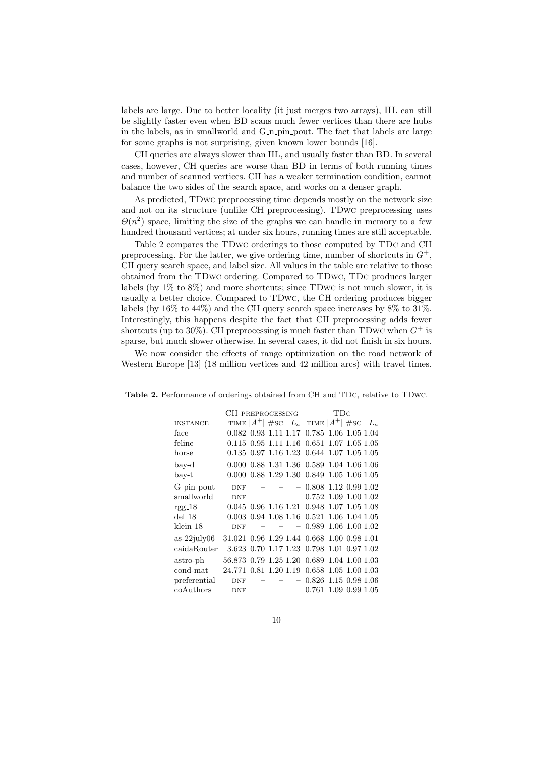labels are large. Due to better locality (it just merges two arrays), HL can still be slightly faster even when BD scans much fewer vertices than there are hubs in the labels, as in smallworld and G<sub>-n-pin-pout</sub>. The fact that labels are large for some graphs is not surprising, given known lower bounds [16].

CH queries are always slower than HL, and usually faster than BD. In several cases, however, CH queries are worse than BD in terms of both running times and number of scanned vertices. CH has a weaker termination condition, cannot balance the two sides of the search space, and works on a denser graph.

As predicted, TDwc preprocessing time depends mostly on the network size and not on its structure (unlike CH preprocessing). TDwc preprocessing uses  $\Theta(n^2)$  space, limiting the size of the graphs we can handle in memory to a few hundred thousand vertices; at under six hours, running times are still acceptable.

Table 2 compares the TDwc orderings to those computed by TDc and CH preprocessing. For the latter, we give ordering time, number of shortcuts in  $G^+$ , CH query search space, and label size. All values in the table are relative to those obtained from the TDwc ordering. Compared to TDwc, TDc produces larger labels (by 1% to 8%) and more shortcuts; since TDwc is not much slower, it is usually a better choice. Compared to TDwc, the CH ordering produces bigger labels (by 16% to 44%) and the CH query search space increases by 8% to 31%. Interestingly, this happens despite the fact that CH preprocessing adds fewer shortcuts (up to 30%). CH preprocessing is much faster than TDwc when  $G^+$  is sparse, but much slower otherwise. In several cases, it did not finish in six hours.

We now consider the effects of range optimization on the road network of Western Europe [13] (18 million vertices and 42 million arcs) with travel times.

|                      | CH-PREPROCESSING                           | TDC |                          |                                               |  |                |  |
|----------------------|--------------------------------------------|-----|--------------------------|-----------------------------------------------|--|----------------|--|
| <b>INSTANCE</b>      |                                            |     |                          | TIME $ A^+ $ #SC $L_a$ TIME $ A^+ $ #SC $L_a$ |  |                |  |
| face                 |                                            |     |                          | 0.082 0.93 1.11 1.17 0.785 1.06 1.05 1.04     |  |                |  |
| feline               | 0.115 0.95 1.11 1.16                       |     |                          | $0.651$ 1.07 1.05 1.05                        |  |                |  |
| horse                | $0.135$ $0.97$ $1.16$ $1.23$               |     |                          | $0.644$ 1.07 1.05 1.05                        |  |                |  |
| $b$ ay-d             |                                            |     |                          | 0.000 0.88 1.31 1.36 0.589 1.04 1.06 1.06     |  |                |  |
| $_{\rm bay-t}$       |                                            |     |                          | 0.000 0.88 1.29 1.30 0.849 1.05 1.06 1.05     |  |                |  |
| G_pin_pout           | <b>DNF</b>                                 |     |                          | $-0.808$ 1.12 0.99 1.02                       |  |                |  |
| smallworld           | <b>DNF</b>                                 |     |                          | $-0.752$ 1.09 1.00 1.02                       |  |                |  |
| $rgg_18$             |                                            |     |                          | 0.045 0.96 1.16 1.21 0.948 1.07 1.05 1.08     |  |                |  |
| $del_18$             |                                            |     |                          | 0.003 0.94 1.08 1.16 0.521 1.06 1.04 1.05     |  |                |  |
| klein <sub>-18</sub> | <b>DNF</b>                                 |     |                          | $-0.989$ 1.06 1.00 1.02                       |  |                |  |
| $as-22july06$        | 31.021 0.96 1.29 1.44 0.668 1.00 0.98 1.01 |     |                          |                                               |  |                |  |
| caidaRouter          |                                            |     |                          | 3.623 0.70 1.17 1.23 0.798 1.01 0.97 1.02     |  |                |  |
| astro-ph             | 56.873 0.79 1.25 1.20 0.689 1.04 1.00 1.03 |     |                          |                                               |  |                |  |
| cond-mat             | 24.771 0.81 1.20 1.19 0.658 1.05 1.00 1.03 |     |                          |                                               |  |                |  |
| preferential         | <b>DNF</b>                                 |     | $\overline{\phantom{0}}$ | 0.826                                         |  | 1.15 0.98 1.06 |  |
| coAuthors            | <b>DNF</b>                                 |     |                          | 0.761                                         |  | 1.09 0.99 1.05 |  |

Table 2. Performance of orderings obtained from CH and TDc, relative to TDwc.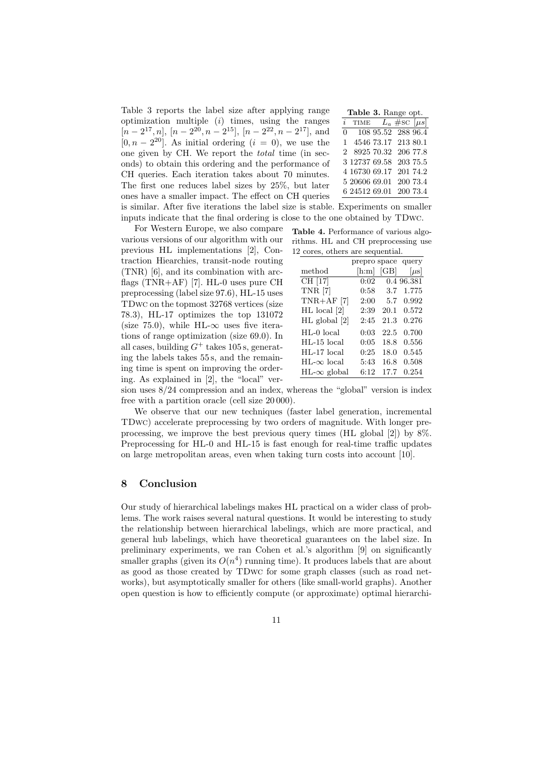Table 3 reports the label size after applying range optimization multiple  $(i)$  times, using the ranges  $[n-2^{17}, n]$ ,  $[n-2^{20}, n-2^{15}]$ ,  $[n-2^{22}, n-2^{17}]$ , and [0,  $n-2^{20}$ ]. As initial ordering  $(i = 0)$ , we use the one given by CH. We report the total time (in seconds) to obtain this ordering and the performance of CH queries. Each iteration takes about 70 minutes. The first one reduces label sizes by 25%, but later ones have a smaller impact. The effect on CH queries is similar. After five iterations the label size is stable. Experiments on smaller inputs indicate that the final ordering is close to the one obtained by TDwc.

For Western Europe, we also compare various versions of our algorithm with our previous HL implementations [2], Contraction Hiearchies, transit-node routing (TNR) [6], and its combination with arcflags (TNR+AF) [7]. HL-0 uses pure CH preprocessing (label size 97.6), HL-15 uses TDwc on the topmost 32768 vertices (size 78.3), HL-17 optimizes the top 131072 (size 75.0), while HL- $\infty$  uses five iterations of range optimization (size 69.0). In all cases, building  $G^+$  takes 105 s, generating the labels takes 55 s, and the remaining time is spent on improving the ordering. As explained in [2], the "local" ver-

| Table 3. Range opt. |  |  |
|---------------------|--|--|
|---------------------|--|--|

| $\dot{i}$ | TIME | $L_a \# \rm{sc}$ [ $\mu s$ ] |
|-----------|------|------------------------------|
|           |      | $0$ 108 95.52 288 96.4       |
|           |      | 1 4546 73.17 213 80.1        |
|           |      | 2 8925 70.32 206 77.8        |
|           |      | 3 12737 69.58 203 75.5       |
|           |      | 4 16730 69.17 201 74.2       |
|           |      | 5 20606 69.01 200 73.4       |
|           |      | 6 24512 69.01 200 73.4       |

Table 4. Performance of various algorithms. HL and CH preprocessing use 12 cores, others are sequential.

|                         | prepro space query          |      |            |
|-------------------------|-----------------------------|------|------------|
| $\operatorname{method}$ | $\left  \text{h:m} \right $ | [GB] | $ \mu s $  |
| CH [17]                 | 0:02                        |      | 0.4 96.381 |
| <b>TNR</b> [7]          | 0:58                        | -3.7 | 1.775      |
| $TNR+AF$ [7]            | 2:00                        | 5.7  | 0.992      |
| $HL$ local $[2]$        | 2:39                        | 20.1 | 0.572      |
| $HL$ global $[2]$       | 2:45                        | 21.3 | 0.276      |
| $HL-0$ local            | 0:03                        | 22.5 | 0.700      |
| HL-15 local             | 0:05                        | 18.8 | 0.556      |
| $HL-17$ local           | 0:25                        | 18.0 | 0.545      |
| $HL-\infty$ local       | 5:43                        | 16.8 | 0.508      |
| $HL-\infty$ global      | 6:12                        | 17.7 | 0.254      |

sion uses 8/24 compression and an index, whereas the "global" version is index free with a partition oracle (cell size 20 000).

We observe that our new techniques (faster label generation, incremental TDwc) accelerate preprocessing by two orders of magnitude. With longer preprocessing, we improve the best previous query times (HL global [2]) by 8%. Preprocessing for HL-0 and HL-15 is fast enough for real-time traffic updates on large metropolitan areas, even when taking turn costs into account [10].

#### 8 Conclusion

Our study of hierarchical labelings makes HL practical on a wider class of problems. The work raises several natural questions. It would be interesting to study the relationship between hierarchical labelings, which are more practical, and general hub labelings, which have theoretical guarantees on the label size. In preliminary experiments, we ran Cohen et al.'s algorithm [9] on significantly smaller graphs (given its  $O(n^4)$  running time). It produces labels that are about as good as those created by TDwc for some graph classes (such as road networks), but asymptotically smaller for others (like small-world graphs). Another open question is how to efficiently compute (or approximate) optimal hierarchi